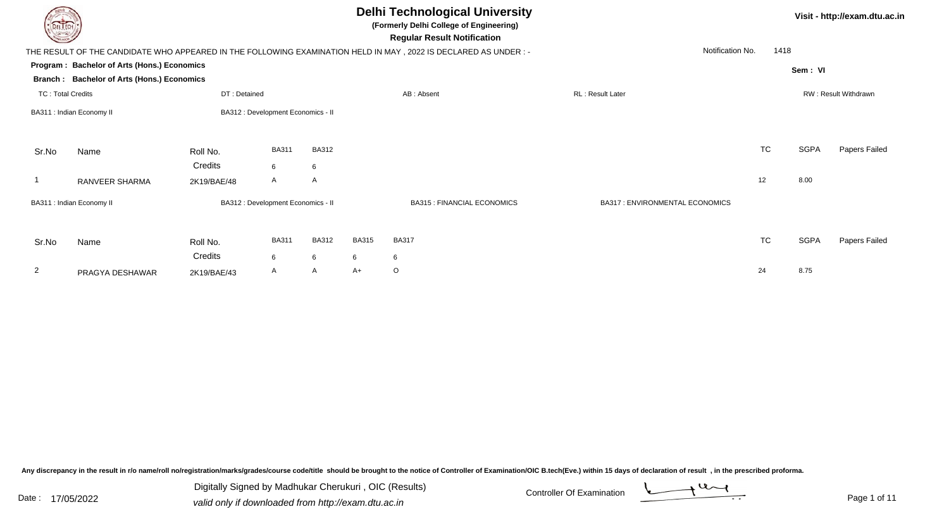| DEL TECH                             |                                                                 |                        |                                    |                   |              | <b>Delhi Technological University</b><br>(Formerly Delhi College of Engineering)<br><b>Regular Result Notification</b> |                                       |           |             | Visit - http://exam.dtu.ac.in |
|--------------------------------------|-----------------------------------------------------------------|------------------------|------------------------------------|-------------------|--------------|------------------------------------------------------------------------------------------------------------------------|---------------------------------------|-----------|-------------|-------------------------------|
|                                      |                                                                 |                        |                                    |                   |              | THE RESULT OF THE CANDIDATE WHO APPEARED IN THE FOLLOWING EXAMINATION HELD IN MAY, 2022 IS DECLARED AS UNDER :-        | Notification No.                      | 1418      |             |                               |
|                                      | Program: Bachelor of Arts (Hons.) Economics                     |                        |                                    |                   |              |                                                                                                                        |                                       |           | Sem: VI     |                               |
| Branch :<br><b>TC: Total Credits</b> | <b>Bachelor of Arts (Hons.) Economics</b>                       | DT: Detained           |                                    |                   |              | AB: Absent                                                                                                             | <b>RL: Result Later</b>               |           |             | RW: Result Withdrawn          |
|                                      | BA312 : Development Economics - II<br>BA311 : Indian Economy II |                        |                                    |                   |              |                                                                                                                        |                                       |           |             |                               |
| Sr.No                                | Name                                                            | Roll No.<br>Credits    | <b>BA311</b><br>6                  | <b>BA312</b><br>6 |              |                                                                                                                        |                                       | TC        | <b>SGPA</b> | Papers Failed                 |
|                                      | RANVEER SHARMA                                                  | 2K19/BAE/48            | A                                  | A                 |              |                                                                                                                        |                                       | 12        | 8.00        |                               |
|                                      | BA311 : Indian Economy II                                       |                        | BA312 : Development Economics - II |                   |              | <b>BA315 : FINANCIAL ECONOMICS</b>                                                                                     | <b>BA317: ENVIRONMENTAL ECONOMICS</b> |           |             |                               |
| Sr.No                                | Name                                                            | Roll No.               | <b>BA311</b>                       | <b>BA312</b>      | <b>BA315</b> | <b>BA317</b>                                                                                                           |                                       | <b>TC</b> | <b>SGPA</b> | Papers Failed                 |
| 2                                    | PRAGYA DESHAWAR                                                 | Credits<br>2K19/BAE/43 | 6<br>A                             | 6<br>A            | 6<br>A+      | 6<br>O                                                                                                                 |                                       | 24        | 8.75        |                               |

Any discrepancy in the result in r/o name/roll no/registration/marks/grades/course code/title should be brought to the notice of Controller of Examination/OIC B.tech(Eve.) within 15 days of declaration of result ,in the p

Digitally Signed by Madhukar Cherukuri, OIC (Results)<br>Date : 17/05/2022 valid only if downloaded from http://oxam.dtu.ac.in Digitally Signed by Madhukar Cherukuri , OIC (Results)valid only if downloaded from http://exam.dtu.ac.in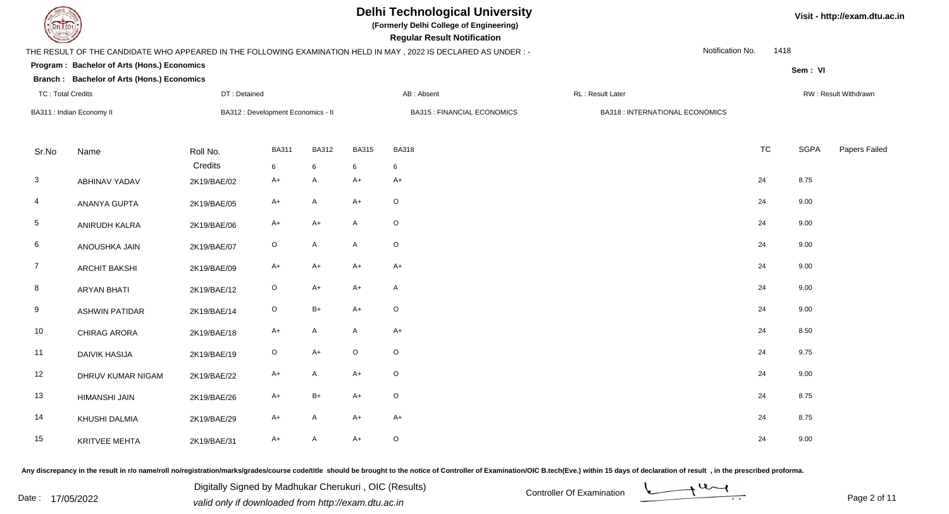

**(Formerly Delhi College of Engineering)**

| <b>Courses of The Courses</b> |                                             |              |                                    |              |                           | <b>Regular Result Notification</b>                                                                               |                                        |                          |             |                      |
|-------------------------------|---------------------------------------------|--------------|------------------------------------|--------------|---------------------------|------------------------------------------------------------------------------------------------------------------|----------------------------------------|--------------------------|-------------|----------------------|
|                               |                                             |              |                                    |              |                           | THE RESULT OF THE CANDIDATE WHO APPEARED IN THE FOLLOWING EXAMINATION HELD IN MAY , 2022 IS DECLARED AS UNDER :- |                                        | Notification No.<br>1418 |             |                      |
|                               | Program: Bachelor of Arts (Hons.) Economics |              |                                    |              |                           |                                                                                                                  |                                        |                          | Sem: VI     |                      |
|                               | Branch: Bachelor of Arts (Hons.) Economics  |              |                                    |              |                           |                                                                                                                  |                                        |                          |             |                      |
| <b>TC: Total Credits</b>      |                                             | DT: Detained |                                    |              |                           | AB: Absent                                                                                                       | RL: Result Later                       |                          |             | RW: Result Withdrawn |
|                               | BA311 : Indian Economy II                   |              | BA312 : Development Economics - II |              |                           | <b>BA315 : FINANCIAL ECONOMICS</b>                                                                               | <b>BA318 : INTERNATIONAL ECONOMICS</b> |                          |             |                      |
| Sr.No                         | Name                                        | Roll No.     | <b>BA311</b>                       | <b>BA312</b> | <b>BA315</b>              | <b>BA318</b>                                                                                                     |                                        | <b>TC</b>                | <b>SGPA</b> | Papers Failed        |
|                               |                                             | Credits      | 6                                  | 6            | 6                         | 6                                                                                                                |                                        |                          |             |                      |
| $\mathbf{3}$                  | ABHINAV YADAV                               | 2K19/BAE/02  | $A+$                               | A            | $A+$                      | $A+$                                                                                                             |                                        | 24                       | 8.75        |                      |
| 4                             | ANANYA GUPTA                                | 2K19/BAE/05  | $A+$                               | A            | $A+$                      | $\circ$                                                                                                          |                                        | 24                       | 9.00        |                      |
| $5\phantom{.0}$               | ANIRUDH KALRA                               | 2K19/BAE/06  | $A+$                               | $A+$         | $\mathsf{A}$              | $\mathsf O$                                                                                                      |                                        | 24                       | 9.00        |                      |
| 6                             | ANOUSHKA JAIN                               | 2K19/BAE/07  | $\mathsf O$                        | A            | $\boldsymbol{\mathsf{A}}$ | $\mathsf O$                                                                                                      |                                        | 24                       | 9.00        |                      |
| $\overline{7}$                | <b>ARCHIT BAKSHI</b>                        | 2K19/BAE/09  | $A+$                               | A+           | $A+$                      | A+                                                                                                               |                                        | 24                       | 9.00        |                      |
| 8                             | <b>ARYAN BHATI</b>                          | 2K19/BAE/12  | $\circ$                            | A+           | $A+$                      | A                                                                                                                |                                        | 24                       | 9.00        |                      |
| 9                             | <b>ASHWIN PATIDAR</b>                       | 2K19/BAE/14  | $\mathsf O$                        | B+           | $A+$                      | $\mathsf O$                                                                                                      |                                        | 24                       | 9.00        |                      |
| 10                            | CHIRAG ARORA                                | 2K19/BAE/18  | $A+$                               | A            | A                         | $A+$                                                                                                             |                                        | 24                       | 8.50        |                      |
| 11                            | <b>DAIVIK HASIJA</b>                        | 2K19/BAE/19  | $\mathsf O$                        | $A+$         | $\mathsf O$               | $\circ$                                                                                                          |                                        | 24                       | 9.75        |                      |
| 12                            | DHRUV KUMAR NIGAM                           | 2K19/BAE/22  | $A+$                               | A            | $A+$                      | $\circ$                                                                                                          |                                        | 24                       | 9.00        |                      |
| 13                            | HIMANSHI JAIN                               | 2K19/BAE/26  | $A+$                               | $B+$         | $A+$                      | $\mathsf O$                                                                                                      |                                        | 24                       | 8.75        |                      |
| 14                            | KHUSHI DALMIA                               | 2K19/BAE/29  | $A+$                               | A            | $A+$                      | $A+$                                                                                                             |                                        | 24                       | 8.75        |                      |
| 15                            | KRITVEE MEHTA                               | 2K19/BAE/31  | $A+$                               | A            | $A+$                      | $\mathsf O$                                                                                                      |                                        | 24                       | 9.00        |                      |

Any discrepancy in the result in r/o name/roll no/registration/marks/grades/course code/title should be brought to the notice of Controller of Examination/OIC B.tech(Eve.) within 15 days of declaration of result, in the pr

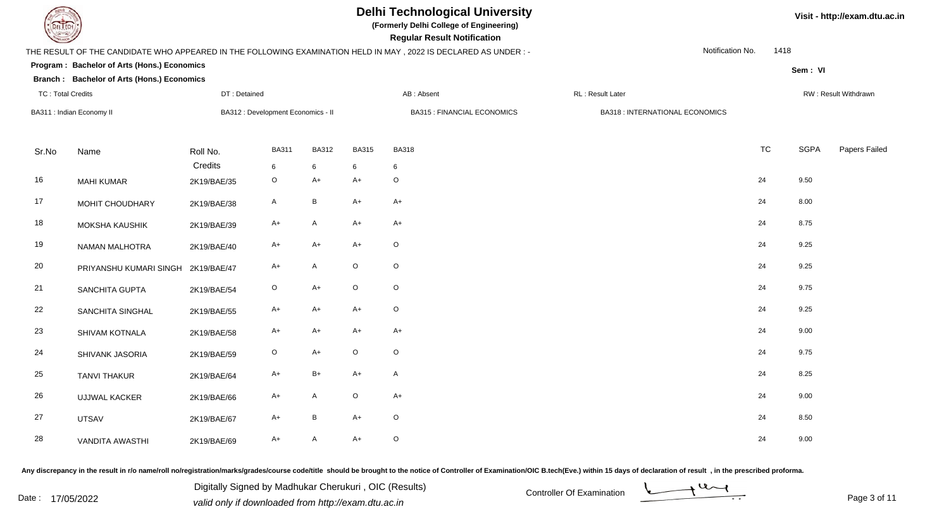

**(Formerly Delhi College of Engineering)**

| <b>Courses of The Courses</b> |                                             |              |                                    |              |              | <b>Regular Result Notification</b>                                                                               |                                 |                  |             |                      |
|-------------------------------|---------------------------------------------|--------------|------------------------------------|--------------|--------------|------------------------------------------------------------------------------------------------------------------|---------------------------------|------------------|-------------|----------------------|
|                               |                                             |              |                                    |              |              | THE RESULT OF THE CANDIDATE WHO APPEARED IN THE FOLLOWING EXAMINATION HELD IN MAY , 2022 IS DECLARED AS UNDER :- |                                 | Notification No. | 1418        |                      |
|                               | Program: Bachelor of Arts (Hons.) Economics |              |                                    |              |              |                                                                                                                  |                                 |                  | Sem: VI     |                      |
|                               | Branch : Bachelor of Arts (Hons.) Economics |              |                                    |              |              |                                                                                                                  |                                 |                  |             |                      |
| <b>TC: Total Credits</b>      |                                             | DT: Detained |                                    |              |              | AB: Absent                                                                                                       | RL: Result Later                |                  |             | RW: Result Withdrawn |
|                               | BA311 : Indian Economy II                   |              | BA312 : Development Economics - II |              |              | <b>BA315 : FINANCIAL ECONOMICS</b>                                                                               | BA318 : INTERNATIONAL ECONOMICS |                  |             |                      |
|                               |                                             |              |                                    |              |              |                                                                                                                  |                                 |                  |             |                      |
| Sr.No                         | Name                                        | Roll No.     | <b>BA311</b>                       | <b>BA312</b> | <b>BA315</b> | <b>BA318</b>                                                                                                     |                                 | <b>TC</b>        | <b>SGPA</b> | Papers Failed        |
|                               |                                             | Credits      | 6                                  | 6            | 6            | 6                                                                                                                |                                 |                  |             |                      |
| 16                            | <b>MAHI KUMAR</b>                           | 2K19/BAE/35  | $\mathsf O$                        | $A+$         | $A+$         | $\circ$                                                                                                          |                                 | 24               | 9.50        |                      |
| 17                            | MOHIT CHOUDHARY                             | 2K19/BAE/38  | $\mathsf{A}$                       | $\, {\bf B}$ | $A+$         | $A+$                                                                                                             |                                 | 24               | 8.00        |                      |
| 18                            | MOKSHA KAUSHIK                              | 2K19/BAE/39  | $A+$                               | A            | $A+$         | A+                                                                                                               |                                 | 24               | 8.75        |                      |
| 19                            | NAMAN MALHOTRA                              | 2K19/BAE/40  | $A+$                               | $A+$         | $A+$         | $\circ$                                                                                                          |                                 | 24               | 9.25        |                      |
| 20                            | PRIYANSHU KUMARI SINGH 2K19/BAE/47          |              | $A+$                               | A            | $\mathsf O$  | $\circ$                                                                                                          |                                 | 24               | 9.25        |                      |
| 21                            | SANCHITA GUPTA                              | 2K19/BAE/54  | $\circ$                            | A+           | $\mathsf O$  | $\mathsf O$                                                                                                      |                                 | 24               | 9.75        |                      |
| 22                            | SANCHITA SINGHAL                            | 2K19/BAE/55  | $A+$                               | A+           | $A+$         | $\mathsf O$                                                                                                      |                                 | 24               | 9.25        |                      |
| 23                            | SHIVAM KOTNALA                              | 2K19/BAE/58  | $A+$                               | $A+$         | $A+$         | $A+$                                                                                                             |                                 | 24               | 9.00        |                      |
| 24                            | SHIVANK JASORIA                             | 2K19/BAE/59  | $\circ$                            | $A+$         | $\mathsf O$  | $\circ$                                                                                                          |                                 | 24               | 9.75        |                      |
| 25                            | <b>TANVI THAKUR</b>                         | 2K19/BAE/64  | $A+$                               | $B+$         | $A+$         | $\mathsf{A}$                                                                                                     |                                 | 24               | 8.25        |                      |
| 26                            | <b>UJJWAL KACKER</b>                        | 2K19/BAE/66  | $A+$                               | A            | $\mathsf O$  | $A+$                                                                                                             |                                 | 24               | 9.00        |                      |
| 27                            | <b>UTSAV</b>                                | 2K19/BAE/67  | $A+$                               | B            | $A+$         | $\circ$                                                                                                          |                                 | 24               | 8.50        |                      |
| 28                            | <b>VANDITA AWASTHI</b>                      | 2K19/BAE/69  | $A+$                               | A            | $A+$         | $\mathsf O$                                                                                                      |                                 | 24               | 9.00        |                      |

Any discrepancy in the result in r/o name/roll no/registration/marks/grades/course code/title should be brought to the notice of Controller of Examination/OIC B.tech(Eve.) within 15 days of declaration of result, in the pr

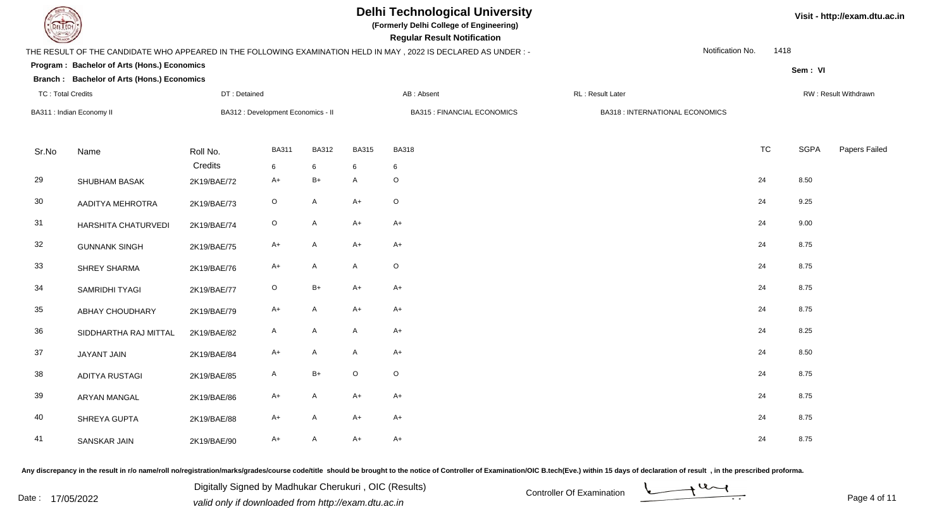

**(Formerly Delhi College of Engineering)**

| <b>Courses of The Courses</b> |                                             |              |                                    |              |                           | <b>Regular Result Notification</b>                                                                              |                                        |                  |             |                      |
|-------------------------------|---------------------------------------------|--------------|------------------------------------|--------------|---------------------------|-----------------------------------------------------------------------------------------------------------------|----------------------------------------|------------------|-------------|----------------------|
|                               |                                             |              |                                    |              |                           | THE RESULT OF THE CANDIDATE WHO APPEARED IN THE FOLLOWING EXAMINATION HELD IN MAY, 2022 IS DECLARED AS UNDER :- |                                        | Notification No. | 1418        |                      |
|                               | Program: Bachelor of Arts (Hons.) Economics |              |                                    |              |                           |                                                                                                                 |                                        |                  | Sem: VI     |                      |
|                               | Branch: Bachelor of Arts (Hons.) Economics  |              |                                    |              |                           |                                                                                                                 |                                        |                  |             |                      |
| <b>TC: Total Credits</b>      |                                             | DT: Detained |                                    |              |                           | AB: Absent                                                                                                      | RL: Result Later                       |                  |             | RW: Result Withdrawn |
|                               | BA311 : Indian Economy II                   |              | BA312 : Development Economics - II |              |                           | <b>BA315 : FINANCIAL ECONOMICS</b>                                                                              | <b>BA318 : INTERNATIONAL ECONOMICS</b> |                  |             |                      |
|                               |                                             |              |                                    |              |                           |                                                                                                                 |                                        |                  |             |                      |
| Sr.No                         | Name                                        | Roll No.     | <b>BA311</b>                       | <b>BA312</b> | <b>BA315</b>              | <b>BA318</b>                                                                                                    |                                        | <b>TC</b>        | <b>SGPA</b> | Papers Failed        |
|                               |                                             | Credits      | 6                                  | 6            | 6                         | 6                                                                                                               |                                        |                  |             |                      |
| 29                            | SHUBHAM BASAK                               | 2K19/BAE/72  | $A+$                               | $B+$         | $\mathsf{A}$              | $\circ$                                                                                                         |                                        | 24               | 8.50        |                      |
| 30                            | AADITYA MEHROTRA                            | 2K19/BAE/73  | $\circ$                            | A            | $A+$                      | $\circ$                                                                                                         |                                        | 24               | 9.25        |                      |
| 31                            | HARSHITA CHATURVEDI                         | 2K19/BAE/74  | $\mathsf O$                        | A            | $A+$                      | $A+$                                                                                                            |                                        | 24               | 9.00        |                      |
| 32                            | <b>GUNNANK SINGH</b>                        | 2K19/BAE/75  | $A+$                               | A            | $A+$                      | $A+$                                                                                                            |                                        | 24               | 8.75        |                      |
| 33                            | SHREY SHARMA                                | 2K19/BAE/76  | A+                                 | A            | A                         | $\mathsf O$                                                                                                     |                                        | 24               | 8.75        |                      |
| 34                            | SAMRIDHI TYAGI                              | 2K19/BAE/77  | $\circ$                            | B+           | $A+$                      | $A+$                                                                                                            |                                        | 24               | 8.75        |                      |
| 35                            | ABHAY CHOUDHARY                             | 2K19/BAE/79  | $A+$                               | A            | $A+$                      | $A+$                                                                                                            |                                        | 24               | 8.75        |                      |
| 36                            | SIDDHARTHA RAJ MITTAL                       | 2K19/BAE/82  | $\mathsf{A}$                       | A            | $\boldsymbol{\mathsf{A}}$ | $A+$                                                                                                            |                                        | 24               | 8.25        |                      |
| 37                            | JAYANT JAIN                                 | 2K19/BAE/84  | $A+$                               | A            | A                         | $A+$                                                                                                            |                                        | 24               | 8.50        |                      |
| 38                            | <b>ADITYA RUSTAGI</b>                       | 2K19/BAE/85  | $\mathsf{A}$                       | $B+$         | $\mathsf O$               | $\circ$                                                                                                         |                                        | 24               | 8.75        |                      |
| 39                            | <b>ARYAN MANGAL</b>                         | 2K19/BAE/86  | $A+$                               | A            | $A+$                      | $A+$                                                                                                            |                                        | 24               | 8.75        |                      |
| 40                            | SHREYA GUPTA                                | 2K19/BAE/88  | $A+$                               | A            | $A+$                      | $A+$                                                                                                            |                                        | 24               | 8.75        |                      |
| 41                            | SANSKAR JAIN                                | 2K19/BAE/90  | $A+$                               | A            | $A+$                      | $A+$                                                                                                            |                                        | 24               | 8.75        |                      |

Any discrepancy in the result in r/o name/roll no/registration/marks/grades/course code/title should be brought to the notice of Controller of Examination/OIC B.tech(Eve.) within 15 days of declaration of result, in the pr

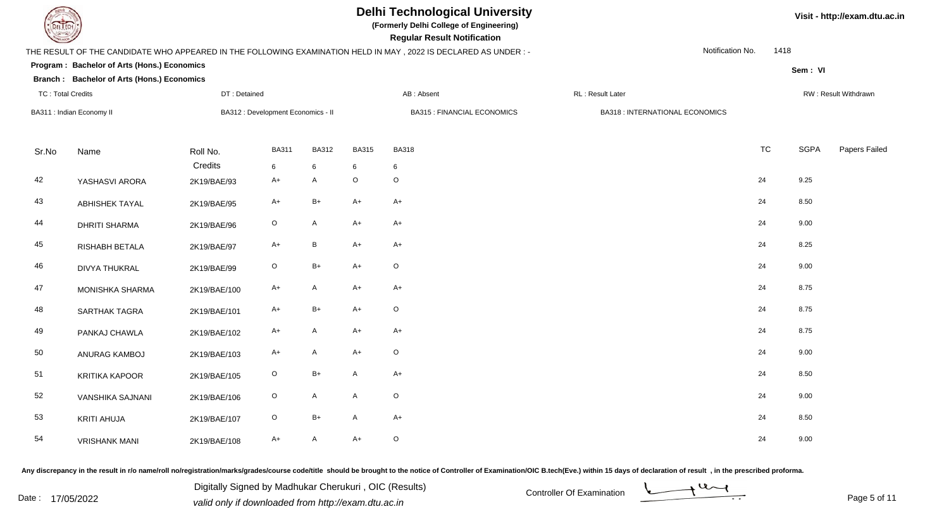

**(Formerly Delhi College of Engineering)**

| <b>Courses of The Courses</b> |                                             |              |                                    |              |              | <b>Regular Result Notification</b>                                                                               |                                        |           |             |                      |
|-------------------------------|---------------------------------------------|--------------|------------------------------------|--------------|--------------|------------------------------------------------------------------------------------------------------------------|----------------------------------------|-----------|-------------|----------------------|
|                               |                                             |              |                                    |              |              | THE RESULT OF THE CANDIDATE WHO APPEARED IN THE FOLLOWING EXAMINATION HELD IN MAY , 2022 IS DECLARED AS UNDER :- | Notification No.                       | 1418      |             |                      |
|                               | Program: Bachelor of Arts (Hons.) Economics |              |                                    |              |              |                                                                                                                  |                                        |           | Sem: VI     |                      |
|                               | Branch: Bachelor of Arts (Hons.) Economics  |              |                                    |              |              |                                                                                                                  |                                        |           |             |                      |
| <b>TC: Total Credits</b>      |                                             | DT: Detained |                                    |              |              | AB: Absent                                                                                                       | RL: Result Later                       |           |             | RW: Result Withdrawn |
|                               | BA311 : Indian Economy II                   |              | BA312 : Development Economics - II |              |              | <b>BA315 : FINANCIAL ECONOMICS</b>                                                                               | <b>BA318 : INTERNATIONAL ECONOMICS</b> |           |             |                      |
|                               |                                             |              |                                    |              |              |                                                                                                                  |                                        |           |             |                      |
| Sr.No                         | Name                                        | Roll No.     | <b>BA311</b>                       | <b>BA312</b> | <b>BA315</b> | <b>BA318</b>                                                                                                     |                                        | <b>TC</b> | <b>SGPA</b> | Papers Failed        |
|                               |                                             | Credits      | 6                                  | 6            | 6            | 6                                                                                                                |                                        |           |             |                      |
| 42                            | YASHASVI ARORA                              | 2K19/BAE/93  | $A+$                               | A            | $\mathsf O$  | $\mathsf O$                                                                                                      |                                        | 24        | 9.25        |                      |
| 43                            | <b>ABHISHEK TAYAL</b>                       | 2K19/BAE/95  | $A+$                               | $B+$         | $A+$         | $A+$                                                                                                             |                                        | 24        | 8.50        |                      |
| 44                            | <b>DHRITI SHARMA</b>                        | 2K19/BAE/96  | $\mathsf O$                        | A            | $A+$         | A+                                                                                                               |                                        | 24        | 9.00        |                      |
| 45                            | RISHABH BETALA                              | 2K19/BAE/97  | $A+$                               | B            | $A+$         | A+                                                                                                               |                                        | 24        | 8.25        |                      |
| 46                            | <b>DIVYA THUKRAL</b>                        | 2K19/BAE/99  | $\circ$                            | $B+$         | $A+$         | $\circ$                                                                                                          |                                        | 24        | 9.00        |                      |
| 47                            | MONISHKA SHARMA                             | 2K19/BAE/100 | $A+$                               | A            | $A+$         | A+                                                                                                               |                                        | 24        | 8.75        |                      |
| 48                            | SARTHAK TAGRA                               | 2K19/BAE/101 | A+                                 | B+           | $A+$         | $\mathsf O$                                                                                                      |                                        | 24        | 8.75        |                      |
| 49                            | PANKAJ CHAWLA                               | 2K19/BAE/102 | $A+$                               | A            | $A+$         | $A+$                                                                                                             |                                        | 24        | 8.75        |                      |
| 50                            | ANURAG KAMBOJ                               | 2K19/BAE/103 | $A+$                               | A            | $A+$         | $\circ$                                                                                                          |                                        | 24        | 9.00        |                      |
| 51                            | <b>KRITIKA KAPOOR</b>                       | 2K19/BAE/105 | $\circ$                            | $B+$         | $\mathsf{A}$ | $A+$                                                                                                             |                                        | 24        | 8.50        |                      |
| 52                            | VANSHIKA SAJNANI                            | 2K19/BAE/106 | $\circ$                            | $\mathsf{A}$ | A            | $\circ$                                                                                                          |                                        | 24        | 9.00        |                      |
| 53                            | <b>KRITI AHUJA</b>                          | 2K19/BAE/107 | $\circ$                            | B+           | A            | $A+$                                                                                                             |                                        | 24        | 8.50        |                      |
| 54                            | <b>VRISHANK MANI</b>                        | 2K19/BAE/108 | $A+$                               | A            | $A+$         | $\circ$                                                                                                          |                                        | 24        | 9.00        |                      |

Any discrepancy in the result in r/o name/roll no/registration/marks/grades/course code/title should be brought to the notice of Controller of Examination/OIC B.tech(Eve.) within 15 days of declaration of result, in the pr

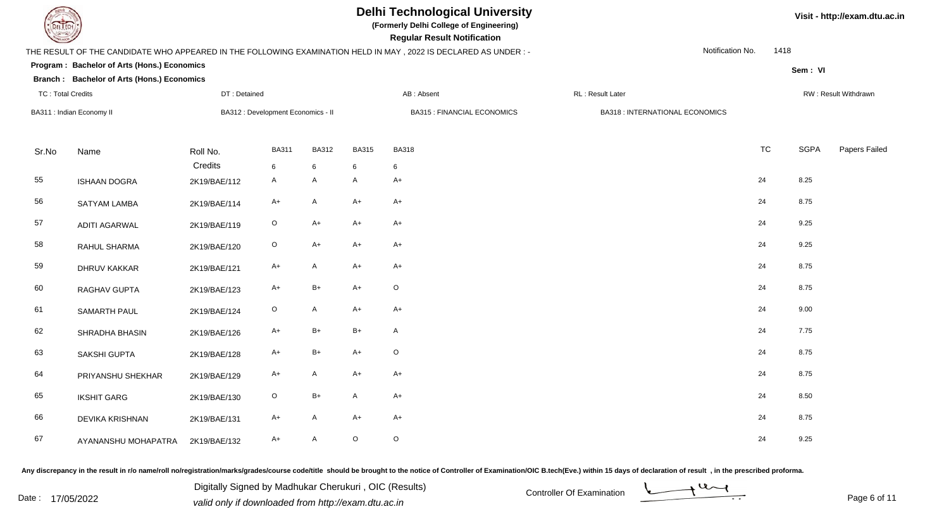

**(Formerly Delhi College of Engineering)**

| <b>Courses of The Courses</b> |                                             |              |                                    |              |              | <b>Regular Result Notification</b>                                                                               |                                        |                  |             |                      |
|-------------------------------|---------------------------------------------|--------------|------------------------------------|--------------|--------------|------------------------------------------------------------------------------------------------------------------|----------------------------------------|------------------|-------------|----------------------|
|                               |                                             |              |                                    |              |              | THE RESULT OF THE CANDIDATE WHO APPEARED IN THE FOLLOWING EXAMINATION HELD IN MAY , 2022 IS DECLARED AS UNDER :- |                                        | Notification No. | 1418        |                      |
|                               | Program: Bachelor of Arts (Hons.) Economics |              |                                    |              |              |                                                                                                                  |                                        |                  | Sem: VI     |                      |
|                               | Branch: Bachelor of Arts (Hons.) Economics  |              |                                    |              |              |                                                                                                                  |                                        |                  |             |                      |
| <b>TC: Total Credits</b>      |                                             | DT: Detained |                                    |              |              | AB: Absent                                                                                                       | RL: Result Later                       |                  |             | RW: Result Withdrawn |
|                               | BA311 : Indian Economy II                   |              | BA312 : Development Economics - II |              |              | <b>BA315: FINANCIAL ECONOMICS</b>                                                                                | <b>BA318 : INTERNATIONAL ECONOMICS</b> |                  |             |                      |
|                               |                                             |              |                                    |              |              |                                                                                                                  |                                        |                  |             |                      |
| Sr.No                         | Name                                        | Roll No.     | <b>BA311</b>                       | <b>BA312</b> | <b>BA315</b> | <b>BA318</b>                                                                                                     |                                        | <b>TC</b>        | <b>SGPA</b> | Papers Failed        |
|                               |                                             | Credits      | 6                                  | 6            | 6            | 6                                                                                                                |                                        |                  |             |                      |
| 55                            | <b>ISHAAN DOGRA</b>                         | 2K19/BAE/112 | $\mathsf{A}$                       | A            | A            | $A+$                                                                                                             |                                        | 24               | 8.25        |                      |
| 56                            | SATYAM LAMBA                                | 2K19/BAE/114 | $A+$                               | A            | $A+$         | $A+$                                                                                                             |                                        | 24               | 8.75        |                      |
| 57                            | <b>ADITI AGARWAL</b>                        | 2K19/BAE/119 | $\mathsf O$                        | $A+$         | $A+$         | $A+$                                                                                                             |                                        | 24               | 9.25        |                      |
| 58                            | RAHUL SHARMA                                | 2K19/BAE/120 | $\mathsf O$                        | A+           | $A+$         | A+                                                                                                               |                                        | 24               | 9.25        |                      |
| 59                            | <b>DHRUV KAKKAR</b>                         | 2K19/BAE/121 | $A+$                               | A            | A+           | A+                                                                                                               |                                        | 24               | 8.75        |                      |
| 60                            | RAGHAV GUPTA                                | 2K19/BAE/123 | $A+$                               | B+           | $A+$         | $\mathsf O$                                                                                                      |                                        | 24               | 8.75        |                      |
| 61                            | SAMARTH PAUL                                | 2K19/BAE/124 | $\circ$                            | A            | $A+$         | $A+$                                                                                                             |                                        | 24               | 9.00        |                      |
| 62                            | SHRADHA BHASIN                              | 2K19/BAE/126 | $A+$                               | $B+$         | $B+$         | $\mathsf{A}$                                                                                                     |                                        | 24               | 7.75        |                      |
| 63                            | SAKSHI GUPTA                                | 2K19/BAE/128 | $A+$                               | $B+$         | $A+$         | $\mathsf O$                                                                                                      |                                        | 24               | 8.75        |                      |
| 64                            | PRIYANSHU SHEKHAR                           | 2K19/BAE/129 | $A+$                               | A            | $A+$         | $A+$                                                                                                             |                                        | 24               | 8.75        |                      |
| 65                            | <b>IKSHIT GARG</b>                          | 2K19/BAE/130 | $\circ$                            | $B+$         | A            | $A+$                                                                                                             |                                        | 24               | 8.50        |                      |
| 66                            | <b>DEVIKA KRISHNAN</b>                      | 2K19/BAE/131 | A+                                 | A            | $A+$         | $A+$                                                                                                             |                                        | 24               | 8.75        |                      |
| 67                            | AYANANSHU MOHAPATRA                         | 2K19/BAE/132 | $A+$                               | A            | $\mathsf O$  | $\circ$                                                                                                          |                                        | 24               | 9.25        |                      |

Any discrepancy in the result in r/o name/roll no/registration/marks/grades/course code/title should be brought to the notice of Controller of Examination/OIC B.tech(Eve.) within 15 days of declaration of result, in the pr

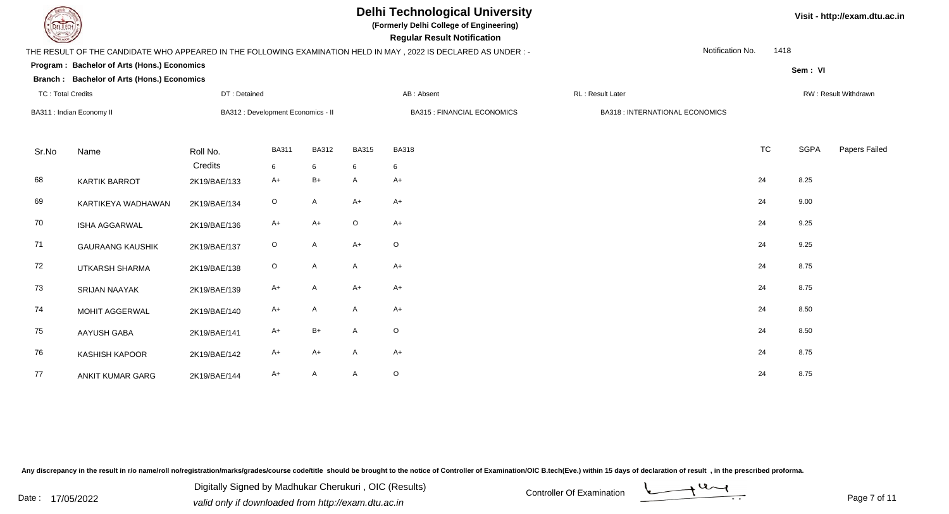

**(Formerly Delhi College of Engineering)**

**Regular Regular Results Notification** 

| <b>Change of Changes of Changes</b> |                                             |              |                                    |              |                                                                                                                 | <b>Regular Result Notification</b> |                                        |           |                          |                      |  |  |
|-------------------------------------|---------------------------------------------|--------------|------------------------------------|--------------|-----------------------------------------------------------------------------------------------------------------|------------------------------------|----------------------------------------|-----------|--------------------------|----------------------|--|--|
|                                     |                                             |              |                                    |              | THE RESULT OF THE CANDIDATE WHO APPEARED IN THE FOLLOWING EXAMINATION HELD IN MAY, 2022 IS DECLARED AS UNDER :- |                                    |                                        |           | Notification No.<br>1418 |                      |  |  |
|                                     | Program: Bachelor of Arts (Hons.) Economics |              |                                    |              |                                                                                                                 |                                    |                                        |           | Sem: VI                  |                      |  |  |
|                                     | Branch: Bachelor of Arts (Hons.) Economics  |              |                                    |              |                                                                                                                 |                                    |                                        |           |                          |                      |  |  |
| <b>TC: Total Credits</b>            |                                             | DT: Detained |                                    |              |                                                                                                                 | AB: Absent                         | RL: Result Later                       |           |                          | RW: Result Withdrawn |  |  |
|                                     | BA311 : Indian Economy II                   |              | BA312 : Development Economics - II |              |                                                                                                                 | <b>BA315: FINANCIAL ECONOMICS</b>  | <b>BA318 : INTERNATIONAL ECONOMICS</b> |           |                          |                      |  |  |
| Sr.No                               | Name                                        | Roll No.     | <b>BA311</b>                       | <b>BA312</b> | <b>BA315</b>                                                                                                    | <b>BA318</b>                       |                                        | <b>TC</b> | <b>SGPA</b>              | Papers Failed        |  |  |
|                                     |                                             | Credits      | 6                                  | 6            | 6                                                                                                               | 6                                  |                                        |           |                          |                      |  |  |
| 68                                  | <b>KARTIK BARROT</b>                        | 2K19/BAE/133 | A+                                 | $B+$         | A                                                                                                               | $A+$                               |                                        | 24        | 8.25                     |                      |  |  |
| 69                                  | KARTIKEYA WADHAWAN                          | 2K19/BAE/134 | $\circ$                            | A            | $A+$                                                                                                            | $A+$                               |                                        | 24        | 9.00                     |                      |  |  |
| 70                                  | ISHA AGGARWAL                               | 2K19/BAE/136 | A+                                 | $A+$         | $\mathsf O$                                                                                                     | $A+$                               |                                        | 24        | 9.25                     |                      |  |  |
| 71                                  | <b>GAURAANG KAUSHIK</b>                     | 2K19/BAE/137 | $\circ$                            | A            | $A+$                                                                                                            | $\circ$                            |                                        | 24        | 9.25                     |                      |  |  |
| 72                                  | <b>UTKARSH SHARMA</b>                       | 2K19/BAE/138 | $\circ$                            | A            | A                                                                                                               | $A+$                               |                                        | 24        | 8.75                     |                      |  |  |
| 73                                  | SRIJAN NAAYAK                               | 2K19/BAE/139 | A+                                 | A            | $A+$                                                                                                            | $A+$                               |                                        | 24        | 8.75                     |                      |  |  |
| 74                                  | MOHIT AGGERWAL                              | 2K19/BAE/140 | $A+$                               | A            | A                                                                                                               | $A+$                               |                                        | 24        | 8.50                     |                      |  |  |
| 75                                  | AAYUSH GABA                                 | 2K19/BAE/141 | A+                                 | $B+$         | A                                                                                                               | $\circ$                            |                                        | 24        | 8.50                     |                      |  |  |
| 76                                  | <b>KASHISH KAPOOR</b>                       | 2K19/BAE/142 | A+                                 | A+           | A                                                                                                               | $A+$                               |                                        | 24        | 8.75                     |                      |  |  |
| 77                                  | ANKIT KUMAR GARG                            | 2K19/BAE/144 | A+                                 | A            | A                                                                                                               | $\circ$                            |                                        | 24        | 8.75                     |                      |  |  |

Any discrepancy in the result in r/o name/roll no/registration/marks/grades/course code/title should be brought to the notice of Controller of Examination/OIC B.tech(Eve.) within 15 days of declaration of result, in the pr

$$
\underbrace{\qquad \qquad }\\
$$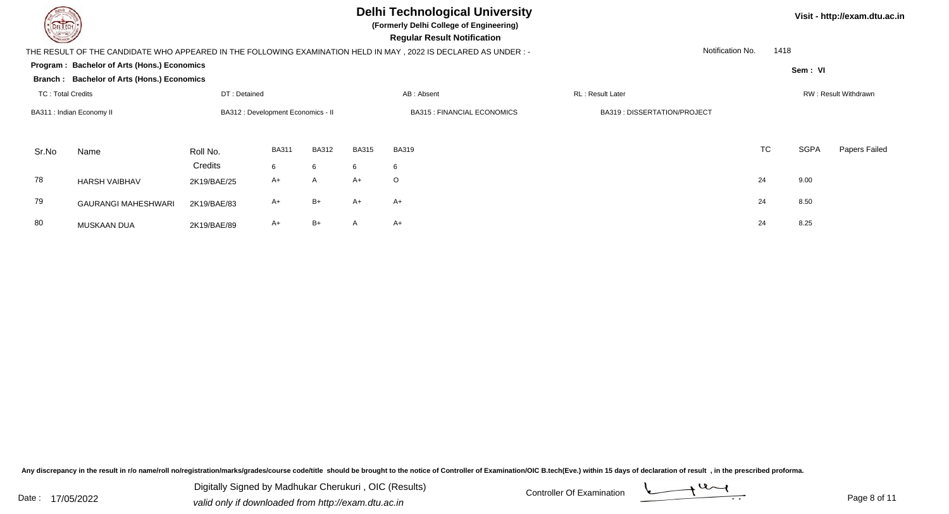

 **Regular Result Notification(Formerly Delhi College of Engineering)Sem : VI Visit - http://exam.dtu.ac.in**THE RESULT OF THE CANDIDATE WHO APPEARED IN THE FOLLOWING EXAMINATION HELD IN MAY , 2022 IS DECLARED AS UNDER : -Notification No.1418

|                          | Program : Bachelor of Arts (Hons.) Economics<br>Sem: VI |              |                                    |              |              |                                    |                             |    |             |                             |  |  |
|--------------------------|---------------------------------------------------------|--------------|------------------------------------|--------------|--------------|------------------------------------|-----------------------------|----|-------------|-----------------------------|--|--|
|                          | Branch: Bachelor of Arts (Hons.) Economics              |              |                                    |              |              |                                    |                             |    |             |                             |  |  |
| <b>TC: Total Credits</b> |                                                         | DT: Detained |                                    |              |              | AB: Absent                         | RL: Result Later            |    |             | <b>RW: Result Withdrawr</b> |  |  |
|                          | BA311 : Indian Economy II                               |              | BA312 : Development Economics - II |              |              | <b>BA315 : FINANCIAL ECONOMICS</b> | BA319: DISSERTATION/PROJECT |    |             |                             |  |  |
| Sr.No                    | Name                                                    | Roll No.     | <b>BA311</b>                       | <b>BA312</b> | <b>BA315</b> | <b>BA319</b>                       |                             | TC | <b>SGPA</b> | Papers Fa                   |  |  |
|                          |                                                         | Credits      | 6                                  | 6            | 6            | 6                                  |                             |    |             |                             |  |  |
| 78                       | <b>HARSH VAIBHAV</b>                                    | 2K19/BAE/25  | A+                                 | A            | $A+$         | $\circ$                            |                             | 24 | 9.00        |                             |  |  |
| 79                       | <b>GAURANGI MAHESHWARI</b>                              | 2K19/BAE/83  | A+                                 | $B+$         | A+           | $A+$                               |                             | 24 | 8.50        |                             |  |  |
| 80                       | <b>MUSKAAN DUA</b>                                      | 2K19/BAE/89  | A+                                 | $B+$         | A            | $A+$                               |                             | 24 | 8.25        |                             |  |  |

Any discrepancy in the result in r/o name/roll no/registration/marks/grades/course code/title should be brought to the notice of Controller of Examination/OIC B.tech(Eve.) within 15 days of declaration of result, in the pr

Date : 17/05/2022 Valid only if downloaded from http://exam.dtu.ac.in<br>
Date : 17/05/2022 valid only if downloaded from http://exam.dtu.ac.in Digitally Signed by Madhukar Cherukuri , OIC (Results)



Papers Failed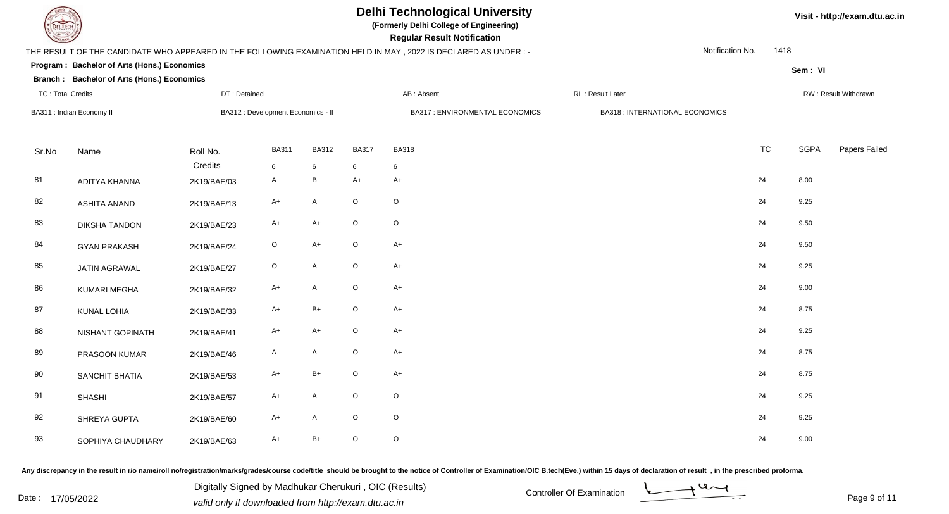

**(Formerly Delhi College of Engineering)**

**Regular Regular Results Notification** 

| <b>Courses I</b>         |                                             |              |                                    |              |              | <b>Regular Result Notification</b>                                                                              |                                       |           |                              |  |
|--------------------------|---------------------------------------------|--------------|------------------------------------|--------------|--------------|-----------------------------------------------------------------------------------------------------------------|---------------------------------------|-----------|------------------------------|--|
|                          |                                             |              |                                    |              |              | THE RESULT OF THE CANDIDATE WHO APPEARED IN THE FOLLOWING EXAMINATION HELD IN MAY, 2022 IS DECLARED AS UNDER :- | Notification No.                      | 1418      |                              |  |
|                          | Program: Bachelor of Arts (Hons.) Economics |              |                                    |              |              |                                                                                                                 |                                       |           | Sem: VI                      |  |
|                          | Branch: Bachelor of Arts (Hons.) Economics  |              |                                    |              |              |                                                                                                                 |                                       |           |                              |  |
| <b>TC: Total Credits</b> |                                             | DT: Detained |                                    |              |              | AB: Absent                                                                                                      | RL: Result Later                      |           | RW: Result Withdrawn         |  |
|                          | BA311 : Indian Economy II                   |              | BA312 : Development Economics - II |              |              | BA317 : ENVIRONMENTAL ECONOMICS                                                                                 | <b>BA318: INTERNATIONAL ECONOMICS</b> |           |                              |  |
| Sr.No                    | Name                                        | Roll No.     | <b>BA311</b>                       | <b>BA312</b> | <b>BA317</b> | <b>BA318</b>                                                                                                    |                                       | <b>TC</b> | <b>SGPA</b><br>Papers Failed |  |
|                          |                                             | Credits      | 6                                  | 6            | 6            | 6                                                                                                               |                                       |           |                              |  |
| 81                       | ADITYA KHANNA                               | 2K19/BAE/03  | $\mathsf{A}$                       | $\, {\sf B}$ | $A+$         | $A+$                                                                                                            |                                       | 24        | 8.00                         |  |
| 82                       | <b>ASHITA ANAND</b>                         | 2K19/BAE/13  | $A+$                               | $\mathsf{A}$ | $\mathsf O$  | $\mathsf O$                                                                                                     |                                       | 24        | 9.25                         |  |
| 83                       | <b>DIKSHA TANDON</b>                        | 2K19/BAE/23  | $A+$                               | $A+$         | $\mathsf O$  | $\mathsf O$                                                                                                     |                                       | 24        | 9.50                         |  |
| 84                       | <b>GYAN PRAKASH</b>                         | 2K19/BAE/24  | $\mathsf O$                        | $A+$         | $\mathsf O$  | $A+$                                                                                                            |                                       | 24        | 9.50                         |  |
| 85                       | JATIN AGRAWAL                               | 2K19/BAE/27  | $\mathsf O$                        | $\mathsf{A}$ | $\mathsf O$  | $A+$                                                                                                            |                                       | 24        | 9.25                         |  |
| 86                       | KUMARI MEGHA                                | 2K19/BAE/32  | $A+$                               | A            | $\circ$      | $A+$                                                                                                            |                                       | 24        | 9.00                         |  |
| 87                       | <b>KUNAL LOHIA</b>                          | 2K19/BAE/33  | $A+$                               | $B+$         | $\mathsf O$  | $A+$                                                                                                            |                                       | 24        | 8.75                         |  |
| 88                       | NISHANT GOPINATH                            | 2K19/BAE/41  | $A+$                               | $A+$         | $\mathsf O$  | $A+$                                                                                                            |                                       | 24        | 9.25                         |  |
| 89                       | PRASOON KUMAR                               | 2K19/BAE/46  | A                                  | A            | $\mathsf O$  | $A+$                                                                                                            |                                       | 24        | 8.75                         |  |
| 90                       | <b>SANCHIT BHATIA</b>                       | 2K19/BAE/53  | $A+$                               | $B+$         | $\circ$      | $A+$                                                                                                            |                                       | 24        | 8.75                         |  |
| 91                       | <b>SHASHI</b>                               | 2K19/BAE/57  | $A+$                               | A            | $\mathsf O$  | $\circ$                                                                                                         |                                       | 24        | 9.25                         |  |
| 92                       | SHREYA GUPTA                                | 2K19/BAE/60  | $A+$                               | A            | $\mathsf O$  | $\circ$                                                                                                         |                                       | 24        | 9.25                         |  |
| 93                       | SOPHIYA CHAUDHARY                           | 2K19/BAE/63  | $A+$                               | $B+$         | $\mathsf O$  | $\circ$                                                                                                         |                                       | 24        | 9.00                         |  |

Any discrepancy in the result in r/o name/roll no/registration/marks/grades/course code/title should be brought to the notice of Controller of Examination/OIC B.tech(Eve.) within 15 days of declaration of result, in the pr

Digitally Signed by Madhukar Cherukuri, OIC (Results)<br>Date : 17/05/2022 valid only if downloaded from http://oxam.dtu.ac.in Digitally Signed by Madhukar Cherukuri , OIC (Results)valid only if downloaded from http://exam.dtu.ac.in

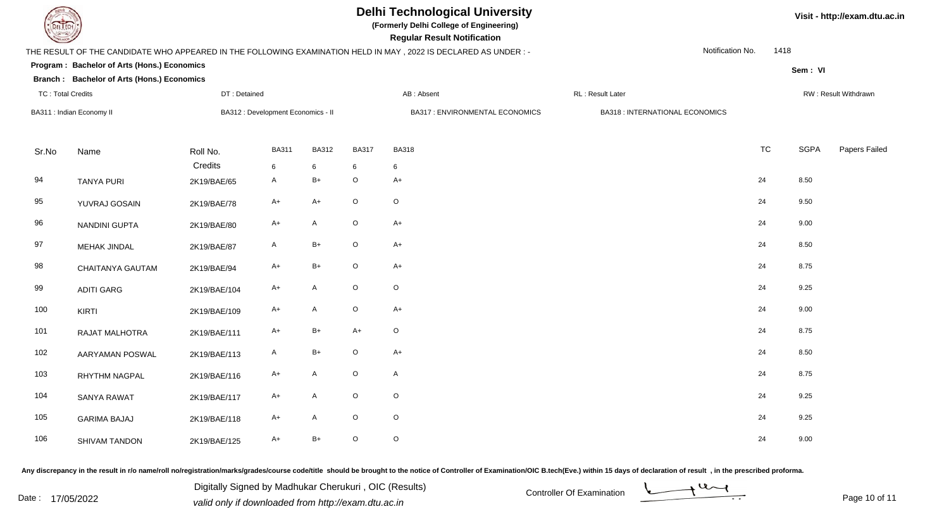

**(Formerly Delhi College of Engineering)**

**Regular Regular Results** 

| <b>County</b>            |                                             |              |                                    |              |              | <b>Regular Result Notification</b>                                                                               |                                        |           |             |                      |
|--------------------------|---------------------------------------------|--------------|------------------------------------|--------------|--------------|------------------------------------------------------------------------------------------------------------------|----------------------------------------|-----------|-------------|----------------------|
|                          |                                             |              |                                    |              |              | THE RESULT OF THE CANDIDATE WHO APPEARED IN THE FOLLOWING EXAMINATION HELD IN MAY , 2022 IS DECLARED AS UNDER :- | Notification No.                       | 1418      |             |                      |
|                          | Program: Bachelor of Arts (Hons.) Economics |              |                                    |              |              |                                                                                                                  |                                        |           | Sem: VI     |                      |
|                          | Branch: Bachelor of Arts (Hons.) Economics  |              |                                    |              |              |                                                                                                                  |                                        |           |             |                      |
| <b>TC: Total Credits</b> |                                             | DT: Detained |                                    |              |              | AB: Absent                                                                                                       | RL: Result Later                       |           |             | RW: Result Withdrawn |
|                          | BA311 : Indian Economy II                   |              | BA312 : Development Economics - II |              |              | <b>BA317: ENVIRONMENTAL ECONOMICS</b>                                                                            | <b>BA318 : INTERNATIONAL ECONOMICS</b> |           |             |                      |
| Sr.No                    | Name                                        | Roll No.     | <b>BA311</b>                       | <b>BA312</b> | <b>BA317</b> | <b>BA318</b>                                                                                                     |                                        | <b>TC</b> | <b>SGPA</b> | Papers Failed        |
|                          |                                             | Credits      | 6                                  | 6            | 6            | 6                                                                                                                |                                        |           |             |                      |
| 94                       | <b>TANYA PURI</b>                           | 2K19/BAE/65  | $\mathsf{A}$                       | $B+$         | $\mathsf O$  | $A+$                                                                                                             |                                        | 24        | 8.50        |                      |
| 95                       | YUVRAJ GOSAIN                               | 2K19/BAE/78  | $A+$                               | $A+$         | $\mathsf O$  | $\circ$                                                                                                          |                                        | 24        | 9.50        |                      |
| 96                       | NANDINI GUPTA                               | 2K19/BAE/80  | $A+$                               | $\mathsf{A}$ | $\mathsf O$  | $A+$                                                                                                             |                                        | 24        | 9.00        |                      |
| 97                       | MEHAK JINDAL                                | 2K19/BAE/87  | $\mathsf{A}$                       | $B+$         | $\mathsf O$  | $A+$                                                                                                             |                                        | 24        | 8.50        |                      |
| 98                       | CHAITANYA GAUTAM                            | 2K19/BAE/94  | $A+$                               | $B+$         | $\mathsf O$  | $A+$                                                                                                             |                                        | 24        | 8.75        |                      |
| 99                       | <b>ADITI GARG</b>                           | 2K19/BAE/104 | $A+$                               | A            | $\mathsf O$  | $\mathsf O$                                                                                                      |                                        | 24        | 9.25        |                      |
| 100                      | <b>KIRTI</b>                                | 2K19/BAE/109 | $A+$                               | A            | $\mathsf O$  | $A+$                                                                                                             |                                        | 24        | 9.00        |                      |
| 101                      | <b>RAJAT MALHOTRA</b>                       | 2K19/BAE/111 | $A+$                               | $B+$         | $A+$         | $\circ$                                                                                                          |                                        | 24        | 8.75        |                      |
| 102                      | AARYAMAN POSWAL                             | 2K19/BAE/113 | $\mathsf{A}$                       | $B+$         | $\mathsf O$  | $A+$                                                                                                             |                                        | 24        | 8.50        |                      |
| 103                      | <b>RHYTHM NAGPAL</b>                        | 2K19/BAE/116 | $A+$                               | $\mathsf{A}$ | $\mathsf O$  | $\mathsf{A}$                                                                                                     |                                        | 24        | 8.75        |                      |
| 104                      | <b>SANYA RAWAT</b>                          | 2K19/BAE/117 | $A+$                               | A            | $\mathsf O$  | $\circ$                                                                                                          |                                        | 24        | 9.25        |                      |
| 105                      | <b>GARIMA BAJAJ</b>                         | 2K19/BAE/118 | $A+$                               | $\mathsf{A}$ | $\mathsf O$  | $\mathsf O$                                                                                                      |                                        | 24        | 9.25        |                      |
| 106                      | SHIVAM TANDON                               | 2K19/BAE/125 | $A+$                               | $B+$         | $\mathsf O$  | $\circ$                                                                                                          |                                        | 24        | 9.00        |                      |

Any discrepancy in the result in r/o name/roll no/registration/marks/grades/course code/title should be brought to the notice of Controller of Examination/OIC B.tech(Eve.) within 15 days of declaration of result, in the pr

Digitally Signed by Madhukar Cherukuri, OIC (Results)<br>Date : 17/05/2022 valid only if downloaded from http://oxam.dtu.ac.in Digitally Signed by Madhukar Cherukuri , OIC (Results)valid only if downloaded from http://exam.dtu.ac.in